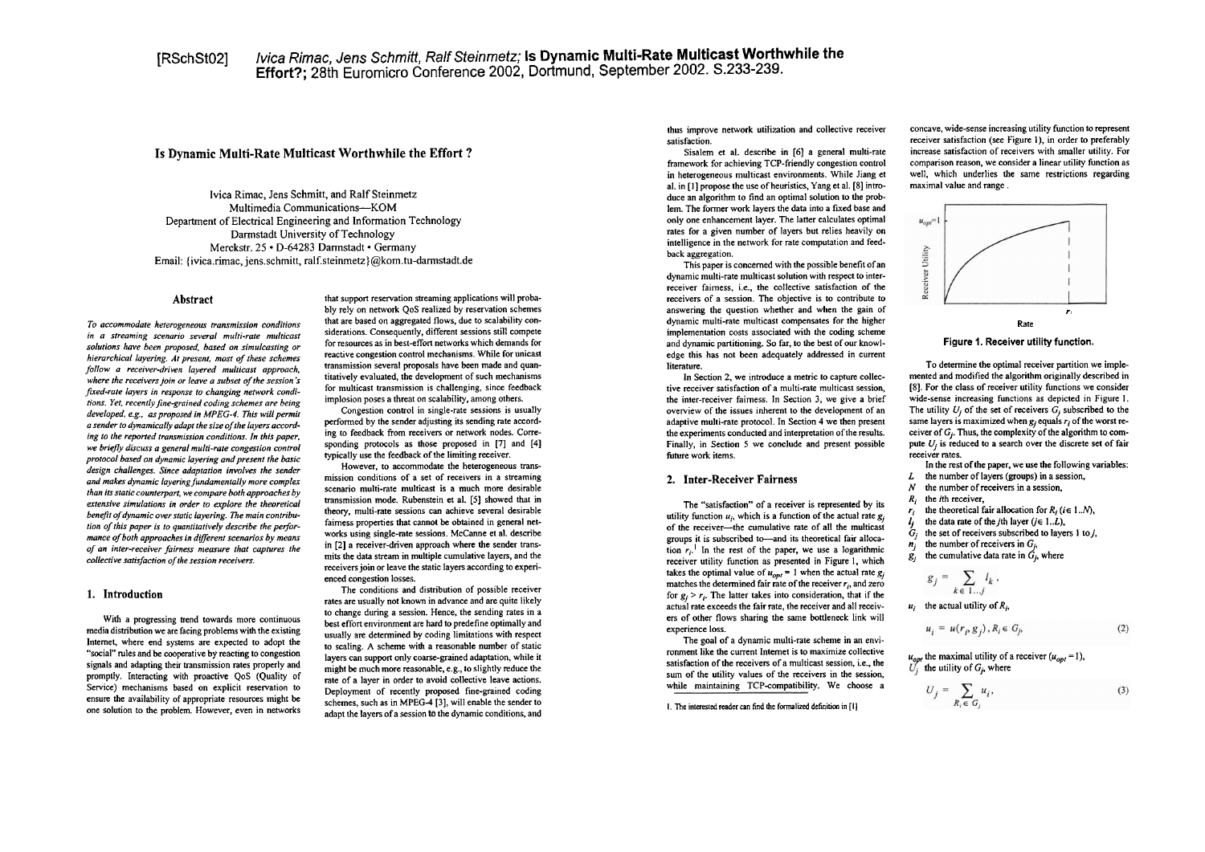# [RSchSt02] lvica Rimac, Jens Schmiit, Ralf Steinmetz; **Is Dynarnic Multi-Rate Multicast Worthwhile the Effort?;** 28th Euromicro Conference 2002, Dortmund, September 2002. S.233-239.

# **1s Dynarnic Multi-Rate Multicast Worthwhile the Effort** ?

**lvica** Rimac, Jens Schmitt, and Ralf Steinmetz Multimedia Communications-KOM Department of Electrical Engineering and Information Technology Darmstadt University of Technology Merckstr. 25 · D-64283 Darmstadt · Germany Email: {ivica.rimac, jens.schmitt, ralf.steinmetz}@kom.tu-darmstadt.de

# **Abstract**

To accommodate heterogeneous transmission conditions in a streaming scenario several multi-rate multicast solutions have been proposed, based on simulcasting or hierarchical layering. At present, most of these schemes follow a receiver-driven layered multicast approach, where the receivers join or leave a subset of the session's fixed-rate layers in response to changing network conditions. Yet, recently fine-grained coding schemes are being developed, e.g., as proposed in MPEG-4. This will permit a sender to dynamically adapt the size of the layers according to the reported transmission conditions. In this paper, we briefly discuss a general multi-rate congestion control protocol based on dynamic layering and present the basic design challenges. Since adapfation involves the sender and makes dynamic layering fundamentally more complex fhan its sfatic counrerpart, **we** compare both approaches by extensive simulations in order to explore the theoretical benefit of dynamic over static layering. The main contribution of this paper is to quantitatively describe the performance of both approaches in different scenarios by means of an inter-receiver fairness nieasure fhat caphires the collective satisfaction of the session receivers.

## **1. Iniroduction**

With a progressing trend towards more continuous media distribution we are facing problems with the existing Intemet, where end Systems are expected to adopt the "social" rules and be cooperative by reacting to congestion signals and adapting their transmission rates properly and promptly. Interacting with proactive QoS (Quality of Service) mechanisms based on explicit resewation to ensure the availability of appropriate resources might be one solution to the problern. However, even in networks

that support reservation streaming applications will probably rely on network QoS realized by reservation schemes that are based on aggregated flows. due **to** scalability considerations. Consequently, different sessions still compete for resources as in best-effon networks which demands for reactive congestion control mechanisms. While for unicast transmission several proposals have been made and quantitatively evaluated, the development of such mechanisms for multicast transmission is challenging, since feedback implosion poses a threat on scalability, among others.

Congestion control in single-rate sessions is usually performed by the sender adjusting its sending rate according to feedback from receivers or network nodes. Corresponding protocols as those proposed in [7] and [4] typically use the feedback of the limiting receiver.

However, to accommodate the heterogeneous iransmission conditions of a set of receivers in a streaming scenario multi-rate multicast is a much more desirable transmission mode. Rubenstein et al. [5] showed that in theory, multi-rate sessions **can** achieve several desirable fairness properties that cannot be obtained in general networks using single-rate sessions. McCanne et al. describe in [2] a receiver-driven approach where the sender transmits the data stream in multiple cumulative layers, and the receivers join or leave the static layers according to experienced congestion losses.

The conditions and distribution of possible receiver rates are usually not known in advance and are quite likely to change during a session. Hence, the sending rates in a best effort environment are hard to predefine optimally and usually are determined by coding limitations with respect to scaling. A scheme with a reasonable number of static layers can support only coarse-grained adaptation, while it might be much more reasonable, e.g., to slightly reduce the rate of a layer in order to avoid collective leave actions. Deployment of recently proposed fine-grained coding schemes, such as in MPEG-4 [3], will enable the sender to adapt the layers of a session to the dynamic conditions, and

thus improve network utilization and collective receiver satisfaction.

Sisalem et al. describe in [6] a general multi-rate framework for achieving TCP-friendly congestion control in heterogeneous multicast environments. While Jiang et al. in [I] propose the use of heuristics, Yang et **al.** [8] introduce an algorithm to find an optimal solution to the problem. The former work layers the data into a fixed base and only one enhancement layer. The latier calculates optimal rates for a given number of layers but relies heavily on intelligence in the network for rate computation and feedback aggregation.

This paper is concerned with the possible benefit of an dynamic multi-rate multicast solution with respect to interreceiver fairness, i.e., the collective satisfaction of the receivers of a session. The objective is to contribute to answering the question whether and when the gain of dynamic multi-rate multicast compensates for the higher implementation costs associated with the coding scheme and dynamic partitioning. So far, to the best of our knowledge this has not been adequately addressed in current literature.

In Section 2, we introduce a metric to capture collective receiver satisfaction of a multi-rate multicast session, the inter-receiver faimess. In Section 3, we give a brief overview of the issues inherent to the development of an adaptive multi-rate protocol. In Section 4 we then present the experiments conducted and interpretation of the results. Finally, in Section **5** we conclude and present possible future work items.

# **2. Inter-Receiver Fairness**

The "satisfaction" of a receiver is represented by its utility function  $u_i$ , which is a function of the actual rate  $g_i$ . of the receiver-the cumulative rate of all the multicast groups it is subscribed to-and its theoretical fair allocation  $r<sub>0</sub>$ <sup>1</sup> In the rest of the paper, we use a logarithmic receiver utility function as presented in Figure I, which takes the optimal value of  $u_{opt} = 1$  when the actual rate  $g_i$ matches the determined fair rate of the receiver  $r_i$ , and zero for  $g_i > r_i$ . The latter takes into consideration, that if the actual rate exceeds the fair rate, the receiver and all receivers of other flows sharing the same bottleneck link will experience loss.

The goal of a dynamic multi-rate scheme in an environment like the current lnternet is to maximize collective satisfaction of the receivers of a multicast session, i.e., the sum of the utility values of the receivers in the session, while maintaining TCP-compatibility. We choose a concave, wide-sense increasing utility function **to** represent receiver satisfaction (see Figure I), in order **to** preferably increase satisfaction of receivers with smaller utility. For comparison reason, we consider a linear utility function as well, which underlies the same restrictions regarding maximal value and range .





To determine the optimal receiver partition we implemented and modified the algorithm originally described in 181. For the class of receiver utility functions we consider wide-sense increasing functions as depicted in Figure 1. The utility  $U_i$  of the set of receivers  $G_i$  subscribed to the same layers is maximized when  $g_i$  equals  $r_i$  of the worst receiver of G<sub>i</sub>. Thus, the complexity of the algorithm to compute  $U_i$  is reduced to a search over the discrete set of fair receiver rates.

In the rest of the paper, we use the following variables:

- $L$  the number of layers (groups) in a session,
- $N$  the number of receivers in a session.
- $R_i$  the *i*th receiver,
- the theoretical fair allocation for  $R_i$  ( $i \in 1..N$ ),
- the data rate of the *j*th layer ( $j \in 1...L$ ).
- $\tilde{G}_i$  the set of receivers subscribed to layers 1 to i.
- 
- $n_j$  the number of receivers in  $G_j$ ,<br>g<sub>i</sub> the cumulative data rate in  $G_j$ the cumulative data rate in  $G_i$ , where

$$
g_j = \sum_{k \in [1,..,j]} l_k,
$$
  
 
$$
u_i
$$
 the actual utility of  $R_i$ ,

$$
u_i = u(r_i, g_j), R_i \in G_j, \tag{2}
$$

 $u_{opt}$  the maximal utility of a receiver  $(u_{opt} = 1)$ ,<br> $U_i$  the utility of  $G_i$ , where

$$
U_j = \sum_{R_i \in G_j} u_i,\tag{3}
$$

I. **Ths** inieresicd **rsader ean** find **ihe** fwmsliled **dcfinitiai** in [I I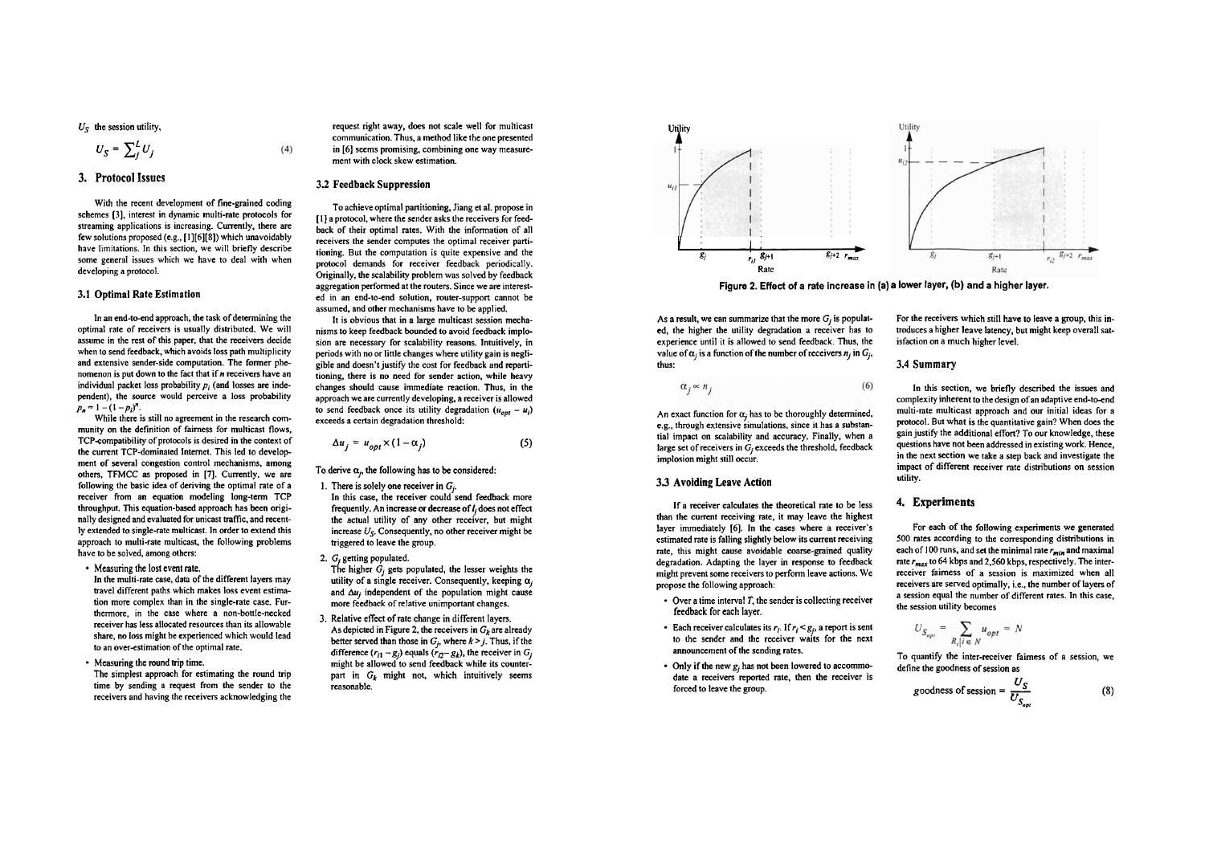$U_{\mathcal{S}}$  the session utility,

$$
U_S = \sum_j^L U_j
$$

# 3. Protocol Issues

With the recent development of fine-grained coding schemes [3]. interest in dynamic multi-rate protocols for streaming applications is increasing. Currently, there are few solutions proposed (e.g., [1][6][8]) which unavoidably have limitations. In this section, we will briefly describe some general issues which we have to deal with when developing a protocol.

## **3.1** Optimal Rate Estimation

**In** an end-to-end approach. the task of determining the optimal rate of receivers is usually distributed. We will assume in the rest of this paper, that the receivers decide when to send feedback, which avoids loss path multiplicity and extensive sender-side computation. The fomer phenomenon is put down to the fact that if  $n$  receivers have an individual packet loss probability  $p_i$  (and losses are independent), the source would perceive a loss probability  $p_n = 1 - (1 - p_i)^n$ .

While there is still no agreement in the research community on the definition of fairness for multicast flows, TCP-compatibility of protocols is desired in the context of the current TCP-dominated Internet. This led to development of several congestion control mechanisms, among others, TFMCC **as** propsed in [7]. Currently, we are following the basic idea of deriving the optimal rate of a receiver from an equation modeling long-term TCP throughput. This quation-based approach has been originally designed and evaluated for unicast traffic, and recently extended to single-rate multicast. In order to extend this approach to multi-rate multicast, the following problems have to be solved, among others:

Measuring the lost event rate.

In the multi-rate case, data of the different layers may travel different paths which makes loss event estimation more complex than in the single-rate case. Furthermore, in the case where a non-bottle-necked receiver has less allocated resources than its allowable share, no loss might **be** experienced which would lead to an over-estimation of the optimal rate.

• Measuring the round trin time.

The simplest approach for estimating the round trip time by sending a request from the sender to the receivers and having the receivers acknowledging the

request right away, does not scale well for multicast communication. Thus, a method like the one presented in [6] seems promising, combining one way measurement with clock skew estimation.

#### **3.2** Feedback Suppression

 $(4)$ 

To achieve optimal panitioning, Jiang **et** al. propose in [1] a protocol, where the sender asks the receivers for feedback of their optimal rates. With the information of all receivers the sender computes the optimal receiver partitioning. But the computation is quite expensive and the protocol demands for receiver feedback periodically. Originally, the scalability problem was solved by feedback aggregation perfomed at the routers. Since we are interested in an end-to-end solution, muier-suppori cannot be assumed. and other mechanisms have to **be** applied.

It is obvious that in a large multicast session mechanisms to keep feedback bounded to avoid feedback implosion are necessary for scalability reasons. Intuitively. in periods with no or little changes where utility gain is negligible and doesn't justify the cost for feedback and repartitioning, there is no need for sender action, while heavy changes should cause immediate reaction. Thus. in the approach we are currently developing, a receiver is allowed to send feedback once its utility degradation  $(u_{opt} - u_i)$ exceeds a cenain degradation threshold:

$$
\Delta u_j = u_{opt} \times (1 - \alpha_j) \tag{5}
$$

To derive  $\alpha_i$ , the following has to be considered:

- 1. There is solely one receiver in  $G<sub>ii</sub>$ .
- In this case, the receiver could send feedback more frequently. An increase or decrease of  $l_i$  does not effect the actual utility of any other receiver, but might increase  $U_{\mathcal{S}}$ . Consequently, no other receiver might be triggered to leave the group.
- 2.  $G_i$  getting populated.
- The higher  $G_i$  gets populated, the lesser weights the utility of a single receiver. Consequently, keeping  $\alpha_i$ and  $\Delta u_i$  independent of the population might cause more feedback of relative unimportant changes.
- 3. Relative effect of rate change in different layen. As depicted in Figure 2, the receivers in  $G_k$  are already better served than those in  $G_i$ , where  $k > j$ . Thus, if the difference  $(r_{i1} - g_i)$  equals  $(r_{i2} - g_i)$ , the receiver in G<sub>i</sub> might be allowed **io** send feedback while its counterpart in  $G_k$  might not, which intuitively seems reasonable.



Figure 2. Effect of a rate increase in (a) a lower layer, **(b)** and a higher layer.

 $(6)$ 

As a result, we can summarize that the more  $G_i$  is populated, the higher the utility degradation a receiver has to experience until it is allowed to send feedback. Thus, the value of  $\alpha_i$  is a function of the number of receivers  $n_i$  in  $G_i$ , thus:

$$
\alpha_j \propto n_j
$$

An exact function for  $\alpha$ , has to be thoroughly determined, e.g., through extensive simulations. since it has a subsiantial impact on scalability and accuracy. Finally, when a large set of receivers in  $G_i$  exceeds the threshold, feedback implosion might still occur.

## **33** Avoiding Leave Action

If a receiver calculates the theoretical rate to be less than the current receiving rate, it may leave the highest layer immediately [6]. In the cases where a receiver's estimated rate is falling slightly below its current receiving rate, this might cause avoidable coarse-grained quality degradation. Adapting the layer in response to feedback might prevent some receivers to perform leave actions. We propose the following approach:

- $\bullet$  Over a time interval T, the sender is collecting receiver feedback for each layer.
- **Each receiver calculates its**  $r_i$ **. If**  $r_i < g_i$ **, a report is sent** to the sender and thc receiver waits for the next announcement of the sending rates.
- $\cdot$  Only if the new  $g_i$  has not been lowered to accommodate a receivers reported rate, then the receiver is forced to leave the group.

For the receivers which still have to leave a group, this introduces a higher leave latency, but might keep overall satisfaction on a much higher level.

**3.4** Summary

In this section, we briefly described the issues and complexity inherent to the design of an adaptive end-to-end multi-rate multicast approach and our initial ideas for a protocol. But what is the quantitative gain? When das the gain justify the additional effon? To our knowledge, these questions have not been addressed in existing work. Hence, in the next section we take a step back and investigate the impact of different receiver rate distributions on session utility.

## **4. Experiments**

For each of the following experiments we generated 500 rates according to the corresponding distributions in each of 100 runs, and set the minimal rate  $r_{\text{min}}$  and maximal rate  $r_{max}$  to 64 kbps and 2,560 kbps, respectively. The interreceiver fairness of a session is maximized when all receivers are served optimally, i.e., the number of layers of a session equal the number of different rates. In this case, the session utility becomes

$$
U_{S_{opt}} = \sum_{R_i \mid i \in N} u_{opt} = \lambda
$$

To quantify the inter-receiver fairness of a session, we define the goodness of session as

$$
R_i|i \in N
$$
  
quantity the inter-recéver fairness of a session, we  
line the goodness of session as  
goodness of session = 
$$
\frac{U_S}{U_{S_{opt}}}
$$
 (8)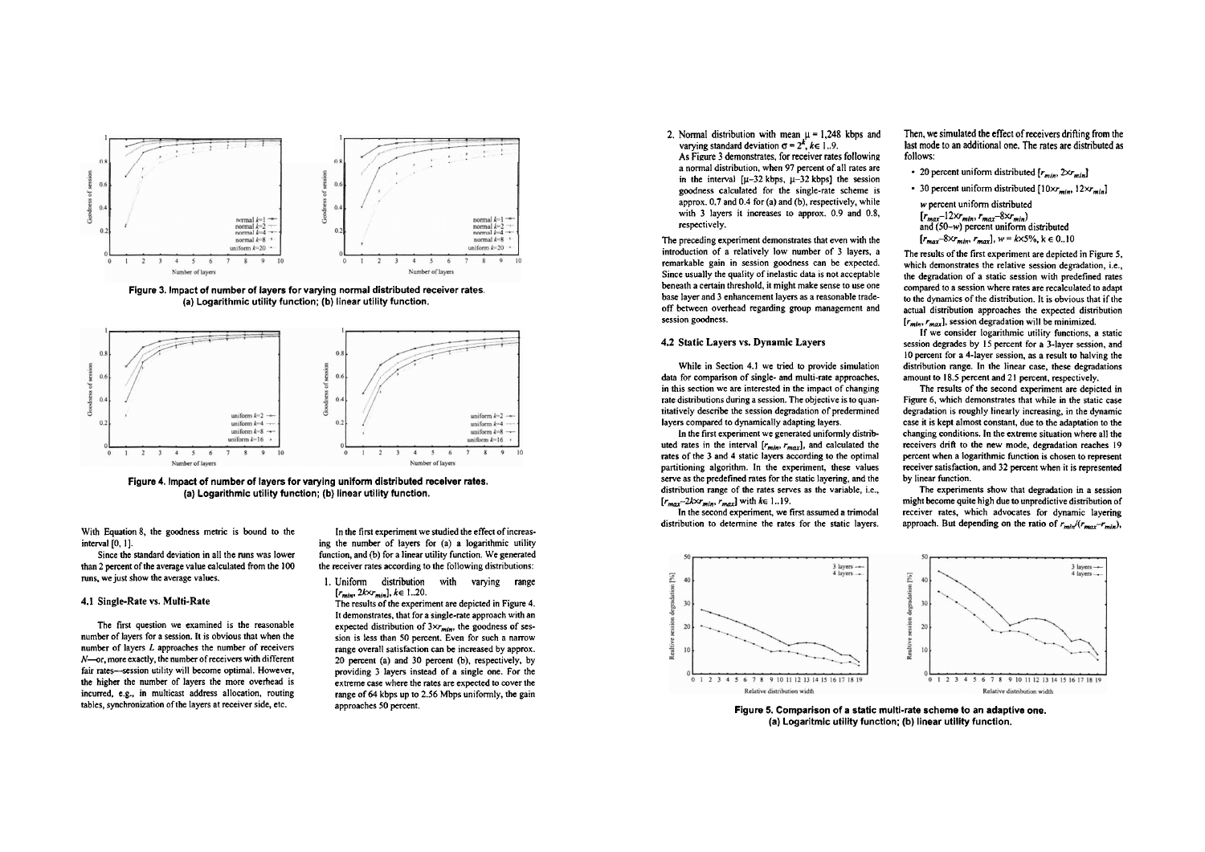







With Equation 8, the goodness metric is bound **to** the interval [O, I].

Since the standard deviation in all the runs was lower than 2 percent of the average value calculated from the 100 runs. we just show the average values.

#### 4.1 Single-Rate vs. Multi-Rate

The first question we examined is the reasonable number of layers for a session. It is obvious that when the number of layers  $L$  approaches the number of receivers  $N$ —or, more exactly, the number of receivers with different fair rates-session utility will become optimal. However, the higher the number of layers the more overhead is incurred. e.g., in multicast address allocation, routing tables, synchronization of the layers at receiver side, etc.

In the fint experiment we studied the effect of increasing the number of layers for (a) a logarithmic utility function, and (b) for a linear utility function. We generated the receiver rates according to the following distributions:

I. Uniform distribution with varying range  $[r_{min}, 2k \times r_{min}], k \in 1..20.$ 

The results of the experiment are depicted in Figure 4. It demonstrates, that for a single-rate approach with an expected distribution of  $3 \times r_{min}$ , the goodness of session is less than 50 percent. Even for such a narrow range overall satisfaction can be increased by approx. 20 percent (a) and 30 percent (b), respectively, by providing 3 layers instead of a single one. For the extreme case where the rates are expected to cover the range of 64 kbps up to 2.56 Mbps uniformly, the gain approaches 50 percent.

As Figure 3 demonstrates. for receiver rates following a normal distribution. when 97 percent of all rates are in the interval  $[\mu-32 \text{ kbps}, \mu-32 \text{ kbps}]$  the session

goodness calculated for the single-rate scheme is approx. 0.7 and 0.4 for (a) and (b), respectively, while with 3 layers it increases to approx. 0.9 and 0.8, respectively. The preceding experiment demonstrates that even with the

introduction of a relatively low number of 3 layen, a remarkable gain in session goodness can be expected. Since usually the quality of inelastic data is not acceptabie beneath a ceriain threshold, it might make sense to use one base layer and 3 enhancement layers as a reasonable tradeoff between overhead regarding group management and session goodness.

## 4.2 Static Layers vs. Dynamic Layers

While in Section 4.1 we tried to provide simulation **data** for comparison of single- and multi-rate approaches, in this section we are interested in the impact of changing rate distributions during a session. The objective is to quantitativeiy describe the session degradation of predermined layers compared to dynamically adapting layers.

In the fint experiment we generated uniformly distributed rates in the interval  $[r_{min}, r_{max}]$ , and calculated the rates of the 3 and 4 static layers according to the optimal partitioning algorithm. In the experiment, these values serve as the predefined rates for the static layering. and the distribution range of the rates serves as the variable, i.e.,  $[r_{max}-2k\times r_{min}, r_{max}]$  with  $k \in 1..19$ .

In the second experiment, we first assumed a trimodal distribution to determine the rates for the static layers.

2. Normal distribution with mean  $\mu = 1,248$  kbps and Then, we simulated the effect of receivers drifting from the varying standard deviation  $\sigma = 2^k$ .  $k \in 1, 9$ . Iast mode to an additional one. The rates are distribute last mode to an additional one. The rates are distributed as follows:

- 20 percent uniform distributed  $[r_{min}, 2 \times r_{min}]$
- 30 percent uniform distributed  $[10 \times r_{min}, 12 \times r_{min}]$

**<sup>W</sup>**percent uniform distributed  $[r_{max}-12\times r_{min}, r_{max}-8\times r_{min})]$ and  $(50-w)$  percent uniform distributed  $[r_{max}-8 \times r_{min}, r_{max}], w = k \times 5\%$ ,  $k \in 0.10$ 

The results of the first experiment are depicted in Figure 5, which demonstrates the relative session degradation, i.e.. the degradation of a static session with predefined rates compared to a session where **rates** are recalculated to adapt to the dynamics of the distribution. It is obvious that if the actual distribution approaches the expected distribution  $[r_{min}, r_{max}]$ , session degradation will be minimized.

If we consider logarithmic utility functions, a static session degrades by 15 percent for a 3-layer session, and 10 percent for a 4-iayer session, **as** a result to halving the distribution range. In the linear case, these degradations amount to 18.5 percent and 21 percent, respectively.

The results of the second experiment are depicted in Figure 6, which demonstrates that while in the static case degradation is roughly linearly increasing, in the dynamic case it is kept almost constant, due to the adaptation to the changing conditions. In the extreme situation where all the receivers driR to the new mode, degradation reaches 19 percent when a logarithmic function is chosen to represent receiver satisfaction, and 32 percent when it is represented by linear function.

The experiments show that degradation in a session might become quite high due **to** unpredictivedistribution of receiver rates, which advocates for dynamic layering approach. But depending on the ratio of  $r_{min}/(r_{max}-r_{min})$ ,



Figure 5. Comparison of a static multi-rate scheme to an adaptive one. (a) Logaritmic utility function; (b) linear utility function.